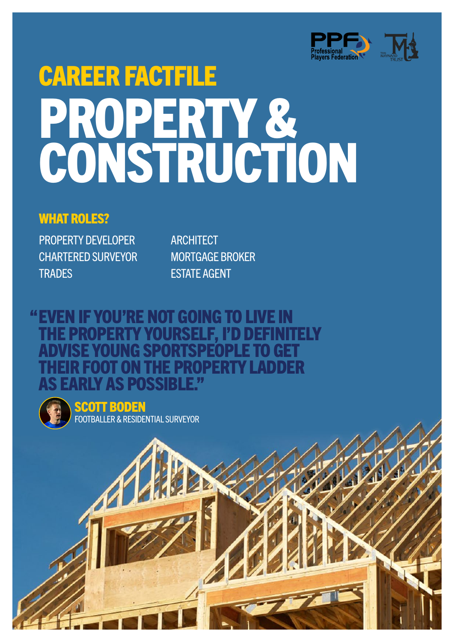

# CAREER FACTFILE PROPERTY & CONSTRUCTION

#### WHAT ROLES?

PROPERTY DEVELOPER CHARTERED SURVEYOR **TRADES** 

**ARCHITECT** MORTGAGE BROKER ESTATE AGENT

### EVEN IF YOU'RE NOT GOING TO LIVE IN "THE PROPERTY YOURSELF, I'D DEFINITELY **ISE YOUNG SPORTSPEOPLE TO GET** OT ON THE PROPERTY LADDER **IV AS POSSIBLE "**



SCOTT BODEN FOOTBALLER & RESIDENTIAL SURVEYOR